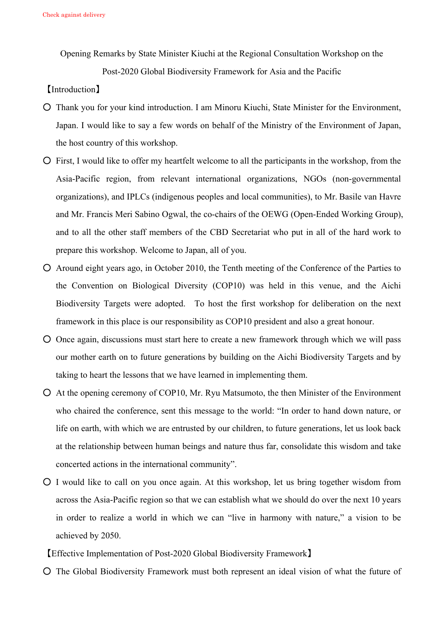Opening Remarks by State Minister Kiuchi at the Regional Consultation Workshop on the

Post-2020 Global Biodiversity Framework for Asia and the Pacific

【Introduction】

- Thank you for your kind introduction. I am Minoru Kiuchi, State Minister for the Environment, Japan. I would like to say a few words on behalf of the Ministry of the Environment of Japan, the host country of this workshop.
- First, I would like to offer my heartfelt welcome to all the participants in the workshop, from the Asia-Pacific region, from relevant international organizations, NGOs (non-governmental organizations), and IPLCs (indigenous peoples and local communities), to Mr. Basile van Havre and Mr. Francis Meri Sabino Ogwal, the co-chairs of the OEWG (Open-Ended Working Group), and to all the other staff members of the CBD Secretariat who put in all of the hard work to prepare this workshop. Welcome to Japan, all of you.
- Around eight years ago, in October 2010, the Tenth meeting of the Conference of the Parties to the Convention on Biological Diversity (COP10) was held in this venue, and the Aichi Biodiversity Targets were adopted. To host the first workshop for deliberation on the next framework in this place is our responsibility as COP10 president and also a great honour.
- Once again, discussions must start here to create a new framework through which we will pass our mother earth on to future generations by building on the Aichi Biodiversity Targets and by taking to heart the lessons that we have learned in implementing them.
- At the opening ceremony of COP10, Mr. Ryu Matsumoto, the then Minister of the Environment who chaired the conference, sent this message to the world: "In order to hand down nature, or life on earth, with which we are entrusted by our children, to future generations, let us look back at the relationship between human beings and nature thus far, consolidate this wisdom and take concerted actions in the international community".
- I would like to call on you once again. At this workshop, let us bring together wisdom from across the Asia-Pacific region so that we can establish what we should do over the next 10 years in order to realize a world in which we can "live in harmony with nature," a vision to be achieved by 2050.

【Effective Implementation of Post-2020 Global Biodiversity Framework】

○ The Global Biodiversity Framework must both represent an ideal vision of what the future of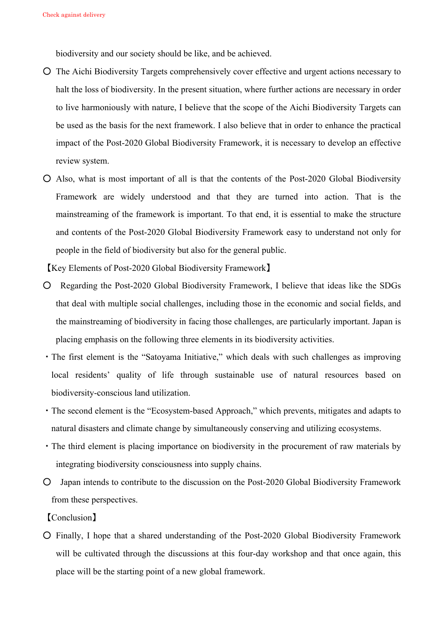biodiversity and our society should be like, and be achieved.

- The Aichi Biodiversity Targets comprehensively cover effective and urgent actions necessary to halt the loss of biodiversity. In the present situation, where further actions are necessary in order to live harmoniously with nature, I believe that the scope of the Aichi Biodiversity Targets can be used as the basis for the next framework. I also believe that in order to enhance the practical impact of the Post-2020 Global Biodiversity Framework, it is necessary to develop an effective review system.
- Also, what is most important of all is that the contents of the Post-2020 Global Biodiversity Framework are widely understood and that they are turned into action. That is the mainstreaming of the framework is important. To that end, it is essential to make the structure and contents of the Post-2020 Global Biodiversity Framework easy to understand not only for people in the field of biodiversity but also for the general public.

【Key Elements of Post-2020 Global Biodiversity Framework】

- Regarding the Post-2020 Global Biodiversity Framework, I believe that ideas like the SDGs that deal with multiple social challenges, including those in the economic and social fields, and the mainstreaming of biodiversity in facing those challenges, are particularly important. Japan is placing emphasis on the following three elements in its biodiversity activities.
- ・The first element is the "Satoyama Initiative," which deals with such challenges as improving local residents' quality of life through sustainable use of natural resources based on biodiversity-conscious land utilization.
- ・The second element is the "Ecosystem-based Approach," which prevents, mitigates and adapts to natural disasters and climate change by simultaneously conserving and utilizing ecosystems.
- ・The third element is placing importance on biodiversity in the procurement of raw materials by integrating biodiversity consciousness into supply chains.
- Japan intends to contribute to the discussion on the Post-2020 Global Biodiversity Framework from these perspectives.

【Conclusion】

○ Finally, I hope that a shared understanding of the Post-2020 Global Biodiversity Framework will be cultivated through the discussions at this four-day workshop and that once again, this place will be the starting point of a new global framework.